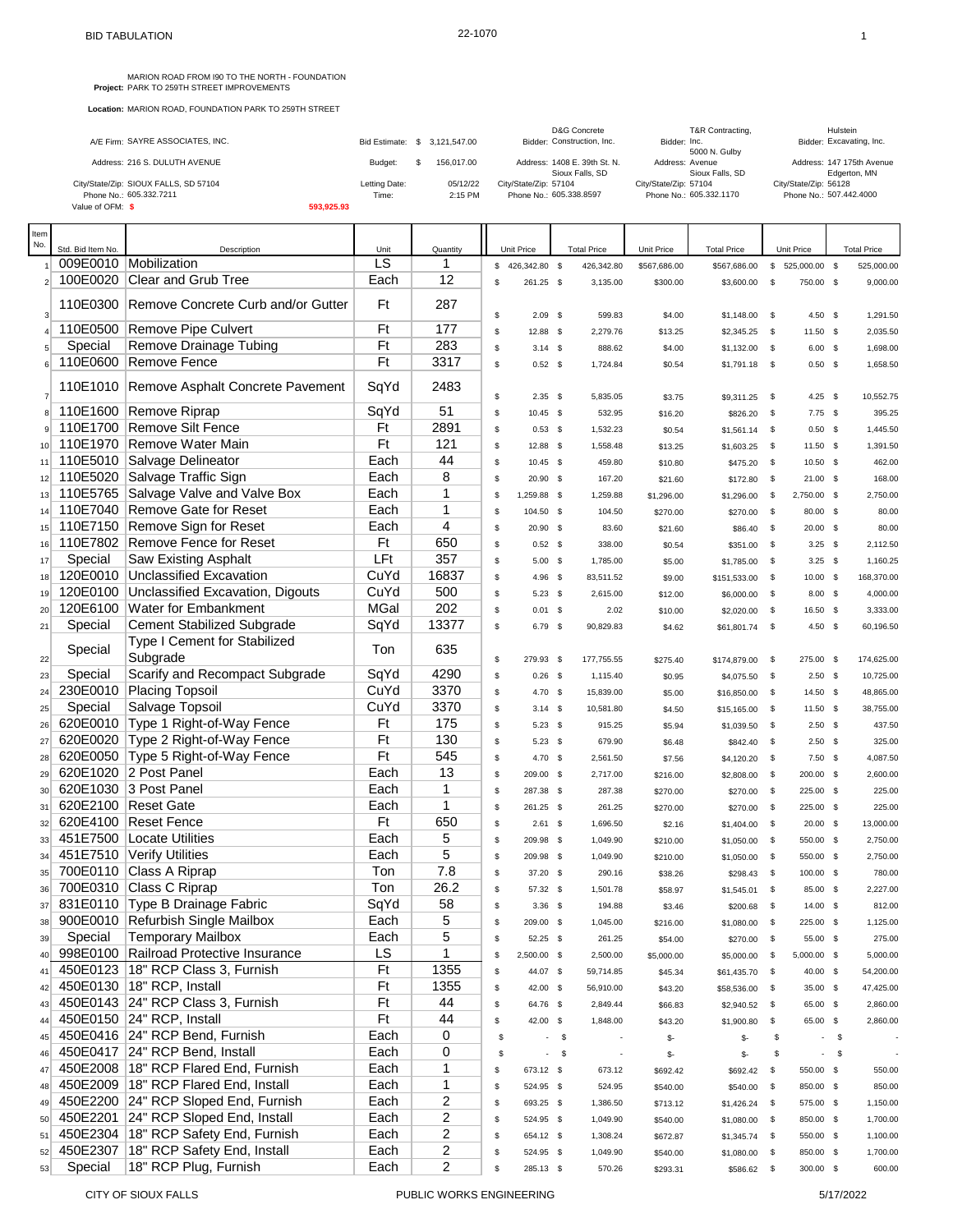MARION ROAD FROM 190 TO THE NORTH - FOUNDATION<br>**Project:** PARK TO 259TH STREET IMPROVEMENTS

| A/E Firm: SAYRE ASSOCIATES, INC.      |               | Bid Estimate: \$ 3.121.547.00 | D&G Concrete<br>Bidder: Construction, Inc.      | T&R Contracting,<br>Bidder: Inc.<br>5000 N. Gulby | Hulstein<br>Bidder: Excavating, Inc.      |
|---------------------------------------|---------------|-------------------------------|-------------------------------------------------|---------------------------------------------------|-------------------------------------------|
| Address: 216 S. DULUTH AVENUE         | Budget:       | 156,017,00                    | Address: 1408 E. 39th St. N.<br>Sioux Falls, SD | Address: Avenue<br>Sioux Falls, SD                | Address: 147 175th Avenue<br>Edgerton, MN |
| City/State/Zip: SIOUX FALLS, SD 57104 | Letting Date: | 05/12/22                      | City/State/Zip: 57104                           | City/State/Zip: 57104                             | City/State/Zip: 56128                     |
| Phone No.: 605.332.7211               | Time:         | 2:15 PM                       | Phone No.: 605.338.8597                         | Phone No.: 605.332.1170                           | Phone No.: 507.442.4000                   |
| Value of OFM: \$                      | 593.925.93    |                               |                                                 |                                                   |                                           |

| Item           |                   |                                                 |             |              |                   |      |                          |              |                    |              |                |        |                    |
|----------------|-------------------|-------------------------------------------------|-------------|--------------|-------------------|------|--------------------------|--------------|--------------------|--------------|----------------|--------|--------------------|
| No.            | Std. Bid Item No. | Description                                     | Unit        | Quantity     | Unit Price        |      | <b>Total Price</b>       | Unit Price   | <b>Total Price</b> |              | Unit Price     |        | <b>Total Price</b> |
|                |                   | 009E0010 Mobilization                           | LS          | 1            | $$426,342.80$ \$  |      | 426,342.80               | \$567,686.00 | \$567,686.00       |              | \$525,000.00\$ |        | 525,000.00         |
| $\overline{2}$ | 100E0020          | Clear and Grub Tree                             | Each        | 12           | \$<br>261.25 \$   |      | 3,135.00                 | \$300.00     | \$3,600.00         | \$           | 750.00 \$      |        | 9,000.00           |
| $\mathbf{3}$   | 110E0300          | Remove Concrete Curb and/or Gutter              | Ft          | 287          | \$<br>$2.09$ \$   |      | 599.83                   | \$4.00       | \$1,148.00         | $\mathbb{S}$ | 4.50 $$$       |        | 1,291.50           |
|                |                   | 110E0500 Remove Pipe Culvert                    | Ft          | 177          | \$<br>12.88 \$    |      | 2,279.76                 | \$13.25      | \$2,345.25         | $\mathbb{S}$ | $11.50$ \$     |        | 2,035.50           |
|                | Special           | Remove Drainage Tubing                          | Ft          | 283          | \$<br>$3.14$ \$   |      | 888.62                   | \$4.00       | \$1,132.00         | $\mathbf s$  | $6.00$ \$      |        | 1,698.00           |
| 6              |                   | 110E0600 Remove Fence                           | Ft          | 3317         | \$<br>$0.52$ \$   |      | 1,724.84                 | \$0.54       | \$1,791.18         | $\mathbb{S}$ | $0.50$ \$      |        | 1,658.50           |
| $\overline{7}$ |                   | 110E1010 Remove Asphalt Concrete Pavement       | SqYd        | 2483         | \$<br>$2.35$ \$   |      | 5,835.05                 | \$3.75       | \$9,311.25         | $\mathbb{S}$ | $4.25$ \$      |        | 10,552.75          |
| 8              |                   | 110E1600 Remove Riprap                          | SqYd        | 51           | \$<br>$10.45$ \$  |      | 532.95                   | \$16.20      | \$826.20           | $\mathbf s$  | $7.75$ \$      |        | 395.25             |
|                |                   | 110E1700 Remove Silt Fence                      | Ft          | 2891         | \$<br>$0.53$ \$   |      | 1,532.23                 | \$0.54       | \$1,561.14         | $\mathbb{S}$ | $0.50\quad$ \$ |        | 1,445.50           |
| 10             |                   | 110E1970 Remove Water Main                      | Ft          | 121          | \$<br>12.88 \$    |      | 1,558.48                 | \$13.25      |                    | - \$         | $11.50$ \$     |        | 1,391.50           |
| 11             |                   | 110E5010 Salvage Delineator                     | Each        | 44           | \$<br>$10.45$ \$  |      | 459.80                   |              | \$1,603.25         | \$           | $10.50$ \$     |        | 462.00             |
|                |                   | 110E5020 Salvage Traffic Sign                   | Each        | 8            | \$                |      |                          | \$10.80      | \$475.20           |              |                |        |                    |
| 12             |                   | 110E5765 Salvage Valve and Valve Box            | Each        | $\mathbf{1}$ | 20.90 \$          |      | 167.20                   | \$21.60      | \$172.80           | $\mathbb{S}$ | $21.00$ \$     |        | 168.00             |
| 13             |                   | 110E7040 Remove Gate for Reset                  |             | 1            | \$<br>1,259.88 \$ |      | 1,259.88                 | \$1,296.00   | \$1,296.00         | \$           | 2,750.00 \$    |        | 2,750.00           |
|                |                   |                                                 | Each        |              | \$<br>104.50 \$   |      | 104.50                   | \$270.00     | \$270.00           | $^{\circ}$   | 80.00 \$       |        | 80.00              |
| 15             |                   | 110E7150 Remove Sign for Reset                  | Each        | 4            | \$<br>20.90 \$    |      | 83.60                    | \$21.60      | \$86.40            | <b>S</b>     | $20.00$ \$     |        | 80.00              |
| 16             |                   | 110E7802 Remove Fence for Reset                 | Ft          | 650          | \$<br>$0.52$ \$   |      | 338.00                   | \$0.54       | \$351.00           | $^{\circ}$   | $3.25$ \$      |        | 2,112.50           |
| 17             | Special           | <b>Saw Existing Asphalt</b>                     | LFt         | 357          | \$<br>$5.00$ \$   |      | 1,785.00                 | \$5.00       | \$1,785.00         | - \$         | $3.25$ \$      |        | 1,160.25           |
| 18             | 120E0010          | Unclassified Excavation                         | CuYd        | 16837        | \$<br>$4.96$ \$   |      | 83,511.52                | \$9.00       | \$151,533.00       | $^{\circ}$   | $10.00$ \$     |        | 168,370.00         |
| 19             |                   | 120E0100 Unclassified Excavation. Digouts       | CuYd        | 500          | \$<br>$5.23$ \$   |      | 2,615.00                 | \$12.00      | \$6,000.00         | $\mathbb{S}$ | $8.00\%$       |        | 4,000.00           |
| 20             |                   | 120E6100 Water for Embankment                   | <b>MGal</b> | 202          | \$<br>$0.01$ \$   |      | 2.02                     | \$10.00      | \$2,020.00         | $\mathbb{S}$ | 16.50 \$       |        | 3,333.00           |
| 21             | Special           | <b>Cement Stabilized Subgrade</b>               | SqYd        | 13377        | \$<br>6.79 \$     |      | 90,829.83                | \$4.62       | \$61,801.74        | $\mathbf s$  | $4.50$ \$      |        | 60,196.50          |
| 22             | Special           | <b>Type I Cement for Stabilized</b><br>Subgrade | Ton         | 635          | \$<br>279.93 \$   |      | 177,755.55               | \$275.40     | \$174,879.00       | \$           | 275.00 \$      |        | 174,625.00         |
| 23             | Special           | Scarify and Recompact Subgrade                  | SqYd        | 4290         | \$<br>$0.26$ \$   |      | 1,115.40                 | \$0.95       | \$4,075.50         | $^{\circ}$   | $2.50$ \$      |        | 10,725.00          |
| 24             |                   | 230E0010 Placing Topsoil                        | CuYd        | 3370         | \$<br>4.70 \$     |      | 15,839.00                | \$5.00       | \$16,850.00        | - \$         | 14.50 \$       |        | 48,865.00          |
| 25             | Special           | Salvage Topsoil                                 | CuYd        | 3370         | \$<br>$3.14$ \$   |      | 10,581.80                | \$4.50       | \$15,165.00        | $^{\circ}$   | 11.50 \$       |        | 38,755.00          |
| 26             |                   | 620E0010 Type 1 Right-of-Way Fence              | Ft          | 175          | \$<br>$5.23$ \$   |      | 915.25                   | \$5.94       | \$1,039.50         | $^{\circ}$   | $2.50$ \$      |        | 437.50             |
| 27             |                   | 620E0020 Type 2 Right-of-Way Fence              | Ft          | 130          | \$<br>$5.23$ \$   |      | 679.90                   | \$6.48       | \$842.40           | $\mathbf s$  | $2.50$ \$      |        | 325.00             |
| 28             |                   | 620E0050 Type 5 Right-of-Way Fence              | Ft          | 545          | \$<br>4.70 \$     |      | 2,561.50                 | \$7.56       | \$4,120.20         | $\mathbf s$  | $7.50$ \$      |        | 4,087.50           |
| 29             |                   | 620E1020 2 Post Panel                           | Each        | 13           | \$<br>209.00 \$   |      | 2,717.00                 | \$216.00     | \$2,808.00         | $\mathbb{S}$ | 200.00 \$      |        | 2,600.00           |
| 30             |                   | 620E1030 3 Post Panel                           | Each        | $\mathbf{1}$ | \$<br>287.38 \$   |      | 287.38                   | \$270.00     |                    | $\mathbb{S}$ | 225.00 \$      |        | 225.00             |
| 31             |                   | 620E2100 Reset Gate                             | Each        | $\mathbf{1}$ | \$                |      | 261.25                   |              | \$270.00           | $\mathbf s$  | 225.00 \$      |        | 225.00             |
|                |                   | 620E4100 Reset Fence                            | Ft          | 650          | 261.25 \$         |      |                          | \$270.00     | \$270.00           |              |                |        |                    |
| 32             |                   | 451E7500 Locate Utilities                       | Each        | 5            | \$<br>$2.61$ \$   |      | 1,696.50                 | \$2.16       | \$1,404.00         | $\mathbb{S}$ | $20.00$ \$     |        | 13,000.00          |
| 33             |                   | 451E7510 Verify Utilities                       | Each        | 5            | \$<br>209.98 \$   |      | 1,049.90                 | \$210.00     | \$1,050.00         | $\mathbb{S}$ | 550.00 \$      |        | 2,750.00           |
| 34             |                   | 700E0110 Class A Riprap                         | Ton         | 7.8          | \$<br>209.98 \$   |      | 1,049.90                 | \$210.00     | \$1,050.00         | - \$         | 550.00 \$      |        | 2,750.00           |
| 35             | 700E0310          |                                                 |             |              | \$<br>37.20 \$    |      | 290.16                   | \$38.26      | \$298.43           | \$           | 100.00 \$      |        | 780.00             |
| 36             |                   | Class C Riprap                                  | Ton         | 26.2         | \$<br>57.32 \$    |      | 1,501.78                 | \$58.97      | \$1,545.01         | - \$         | 85.00 \$       |        | 2,227.00           |
| 37             |                   | 831E0110 Type B Drainage Fabric                 | SqYd        | 58           | \$<br>$3.36$ \$   |      | 194.88                   | \$3.46       | \$200.68           | \$           | 14.00 \$       |        | 812.00             |
| 38             |                   | 900E0010 Refurbish Single Mailbox               | Each        | 5            | \$<br>209.00 \$   |      | 1,045.00                 | \$216.00     | \$1,080.00         | <b>S</b>     | 225.00 \$      |        | 1,125.00           |
| 39             | Special           | <b>Temporary Mailbox</b>                        | Each        | 5            | \$<br>52.25 \$    |      | 261.25                   | \$54.00      | \$270.00           | $\mathbb{S}$ | 55.00 \$       |        | 275.00             |
| 40             |                   | 998E0100 Railroad Protective Insurance          | LS          | 1            | \$<br>2,500.00 \$ |      | 2,500.00                 | \$5,000.00   | \$5,000.00         | \$           | 5,000.00 \$    |        | 5,000.00           |
| 41             |                   | 450E0123   18" RCP Class 3, Furnish             | Ft          | 1355         | \$<br>44.07 \$    |      | 59,714.85                | \$45.34      | \$61,435.70 \$     |              | 40.00 \$       |        | 54,200.00          |
| 42             |                   | 450E0130   18" RCP, Install                     | Ft          | 1355         | \$<br>42.00 \$    |      | 56,910.00                | \$43.20      | \$58,536.00 \$     |              | 35.00 \$       |        | 47,425.00          |
| 43             |                   | 450E0143 24" RCP Class 3, Furnish               | Ft          | 44           | \$<br>64.76 \$    |      | 2,849.44                 | \$66.83      | \$2,940.52 \$      |              | 65.00 \$       |        | 2,860.00           |
| 44             |                   | 450E0150 24" RCP, Install                       | Ft          | 44           | \$<br>42.00 \$    |      | 1,848.00                 | \$43.20      | \$1,900.80         | $\mathbb{S}$ | 65.00 \$       |        | 2,860.00           |
| 45             |                   | 450E0416 24" RCP Bend, Furnish                  | Each        | 0            | \$                | $-5$ |                          | \$-          | \$-                | \$           |                | $-$ \$ |                    |
| 46             |                   | 450E0417   24" RCP Bend, Install                | Each        | 0            | \$                | $-5$ | $\overline{\phantom{a}}$ | \$-          | \$-                | \$           |                | $-$ \$ |                    |
| 47             |                   | 450E2008   18" RCP Flared End, Furnish          | Each        | $\mathbf{1}$ | \$<br>673.12 \$   |      | 673.12                   | \$692.42     | \$692.42           | \$           | 550.00 \$      |        | 550.00             |
| 48             |                   | 450E2009 18" RCP Flared End, Install            | Each        | $\mathbf{1}$ | \$<br>524.95 \$   |      | 524.95                   | \$540.00     | \$540.00 \$        |              | 850.00 \$      |        | 850.00             |
| 49             |                   | 450E2200 24" RCP Sloped End, Furnish            | Each        | 2            | \$<br>693.25 \$   |      | 1,386.50                 | \$713.12     | \$1,426.24         | $\mathbb{S}$ | 575.00 \$      |        | 1,150.00           |
| 50             |                   | 450E2201 24" RCP Sloped End, Install            | Each        | 2            | \$<br>524.95 \$   |      | 1,049.90                 | \$540.00     | \$1,080.00 \$      |              | 850.00 \$      |        | 1,700.00           |
| 51             |                   | 450E2304 18" RCP Safety End, Furnish            | Each        | 2            | \$<br>654.12 \$   |      | 1,308.24                 | \$672.87     | $$1,345.74$ \$     |              | 550.00 \$      |        | 1,100.00           |
| 52             |                   | 450E2307   18" RCP Safety End, Install          | Each        | 2            | \$<br>524.95 \$   |      | 1,049.90                 | \$540.00     | \$1,080.00         | $\mathbb{S}$ | 850.00 \$      |        | 1,700.00           |
| 53             | Special           | 18" RCP Plug, Furnish                           | Each        | 2            | \$<br>285.13 \$   |      | 570.26                   | \$293.31     | \$586.62           | $\mathbb{S}$ | 300.00 \$      |        | 600.00             |
|                |                   |                                                 |             |              |                   |      |                          |              |                    |              |                |        |                    |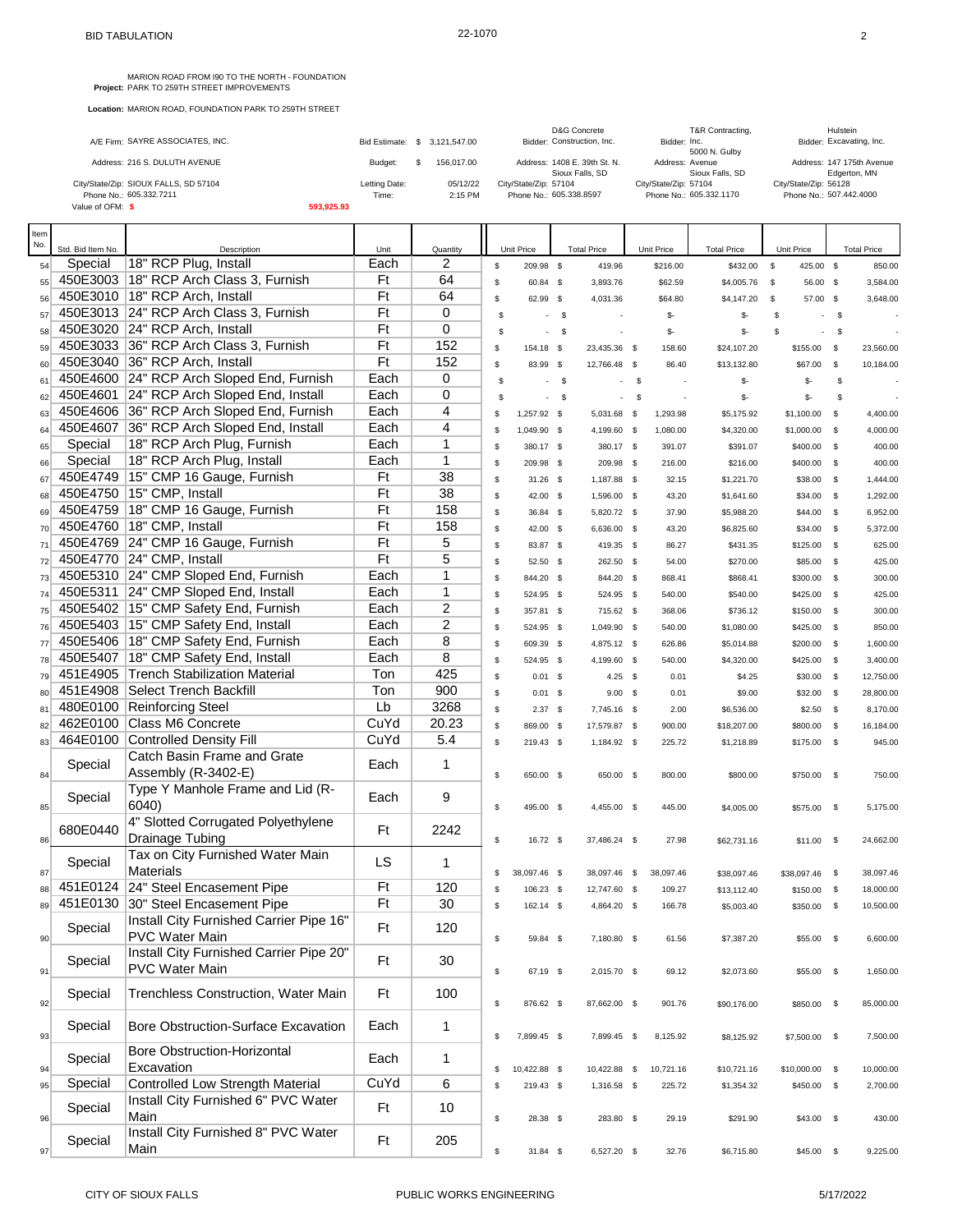MARION ROAD FROM 190 TO THE NORTH - FOUNDATION<br>**Project:** PARK TO 259TH STREET IMPROVEMENTS

|                                       |               |                               | D&G Concrete                 | T&R Contracting,        | Hulstein                  |
|---------------------------------------|---------------|-------------------------------|------------------------------|-------------------------|---------------------------|
| A/E Firm: SAYRE ASSOCIATES, INC.      |               | Bid Estimate: \$ 3.121.547.00 | Bidder: Construction, Inc.   | Bidder: Inc.            | Bidder: Excavating, Inc.  |
|                                       |               |                               |                              | 5000 N. Gulby           |                           |
| Address: 216 S. DULUTH AVENUE         | Budget:       | 156,017,00                    | Address: 1408 E. 39th St. N. | Address: Avenue         | Address: 147 175th Avenue |
|                                       |               |                               | Sioux Falls, SD              | Sioux Falls, SD         | Edgerton, MN              |
| City/State/Zip: SIOUX FALLS, SD 57104 | Letting Date: | 05/12/22                      | City/State/Zip: 57104        | City/State/Zip: 57104   | City/State/Zip: 56128     |
| Phone No.: 605.332.7211               | Time:         | 2:15 PM                       | Phone No.: 605.338.8597      | Phone No.: 605.332.1170 | Phone No.: 507.442.4000   |
| Value of OFM: \$                      | 593,925.93    |                               |                              |                         |                           |

| Item |                   |                                           |      |                |                    |              |                    |             |           |                    |                                |              |                    |
|------|-------------------|-------------------------------------------|------|----------------|--------------------|--------------|--------------------|-------------|-----------|--------------------|--------------------------------|--------------|--------------------|
| No.  | Std. Bid Item No. | Description                               | Unit | Quantity       | Unit Price         |              | <b>Total Price</b> | Unit Price  |           | <b>Total Price</b> | Unit Price                     |              | <b>Total Price</b> |
| 54   | Special           | 18" RCP Plug, Install                     | Each | 2              | \$<br>209.98 \$    |              | 419.96             |             | \$216.00  | \$432.00           | $\mathbb{S}$<br>425.00 \$      |              | 850.00             |
| 55   |                   | 450E3003   18" RCP Arch Class 3, Furnish  | Ft   | 64             | \$<br>60.84 \$     |              | 3,893.76           |             | \$62.59   | \$4,005.76         | $\mathbb{S}$<br>56.00 \$       |              | 3,584.00           |
| 56   |                   | 450E3010   18" RCP Arch, Install          | Ft   | 64             | \$<br>62.99 \$     |              | 4,031.36           |             | \$64.80   | \$4,147.20         | \$<br>57.00 \$                 |              | 3,648.00           |
| 57   |                   | 450E3013 24" RCP Arch Class 3, Furnish    | Ft   | $\mathbf 0$    | \$                 | $-5$         |                    |             | \$-       | \$-                | \$<br>$\blacksquare$           | -\$          |                    |
| 58   |                   | 450E3020 24" RCP Arch, Install            | Ft   | 0              | \$                 | $\mathbb{S}$ |                    |             | \$-       | \$-                | \$<br>$\overline{\phantom{a}}$ | \$           |                    |
| 59   |                   | 450E3033 36" RCP Arch Class 3, Furnish    | Ft   | 152            | \$<br>154.18 \$    |              | 23,435.36 \$       |             | 158.60    | \$24,107.20        | \$155.00                       | \$           | 23,560.00          |
| 60   |                   | 450E3040 36" RCP Arch, Install            | Ft   | 152            | \$<br>83.99 \$     |              | 12,766.48 \$       |             | 86.40     | \$13,132.80        | \$67.00                        | \$           | 10,184.00          |
| 61   |                   | 450E4600 24" RCP Arch Sloped End, Furnish | Each | 0              | \$                 | $\mathbf{s}$ |                    | $\mathbf s$ |           | \$-                | \$-                            | \$           |                    |
| 62   |                   | 450E4601 24" RCP Arch Sloped End, Install | Each | $\mathbf 0$    | \$                 | $^{\circ}$   |                    | \$          |           | \$-                | \$-                            | \$           |                    |
| 63   |                   | 450E4606 36" RCP Arch Sloped End, Furnish | Each | 4              | \$<br>1,257.92 \$  |              | 5,031.68 \$        |             | 1,293.98  | \$5,175.92         | \$1,100.00                     | \$           | 4,400.00           |
| 64   |                   | 450E4607 36" RCP Arch Sloped End, Install | Each | 4              | \$<br>1,049.90 \$  |              | 4,199.60 \$        |             | 1,080.00  | \$4,320.00         | \$1,000.00                     | \$           | 4,000.00           |
| 65   | Special           | 18" RCP Arch Plug, Furnish                | Each | 1              | \$<br>380.17 \$    |              | 380.17 \$          |             | 391.07    | \$391.07           | \$400.00                       | $\mathbb{S}$ | 400.00             |
| 66   | Special           | 18" RCP Arch Plug, Install                | Each | $\mathbf{1}$   | \$<br>209.98 \$    |              | 209.98 \$          |             | 216.00    | \$216.00           | \$400.00                       | $\mathbb{S}$ | 400.00             |
| 67   |                   | 450E4749 15" CMP 16 Gauge, Furnish        | Ft   | 38             | \$<br>$31.26$ \$   |              | 1,187.88 \$        |             | 32.15     | \$1,221.70         | \$38.00                        | \$           | 1,444.00           |
| 68   |                   | 450E4750 15" CMP, Install                 | Ft   | 38             | \$<br>42.00 \$     |              | 1,596.00 \$        |             | 43.20     | \$1,641.60         | \$34.00                        | \$           | 1,292.00           |
| 69   |                   | 450E4759   18" CMP 16 Gauge, Furnish      | Ft   | 158            | \$<br>36.84 \$     |              | 5,820.72 \$        |             | 37.90     | \$5,988.20         | \$44.00                        | \$           | 6,952.00           |
| 70   |                   | 450E4760   18" CMP, Install               | Ft   | 158            | \$<br>42.00 \$     |              | 6,636.00 \$        |             | 43.20     | \$6,825.60         | \$34.00                        | - \$         | 5,372.00           |
| 71   |                   | 450E4769 24" CMP 16 Gauge, Furnish        | Ft   | 5              | \$<br>83.87 \$     |              | 419.35 \$          |             | 86.27     | \$431.35           | \$125.00                       | $\mathbb{S}$ | 625.00             |
| 72   |                   | 450E4770 24" CMP, Install                 | Ft   | 5              | \$<br>52.50 \$     |              | 262.50 \$          |             | 54.00     | \$270.00           | \$85.00                        | \$           | 425.00             |
| 73   |                   | 450E5310 24" CMP Sloped End, Furnish      | Each | 1              | \$<br>844.20 \$    |              | 844.20 \$          |             | 868.41    | \$868.41           | \$300.00                       | \$           | 300.00             |
| 74   |                   | 450E5311 24" CMP Sloped End, Install      | Each | $\mathbf{1}$   | \$<br>524.95 \$    |              | 524.95 \$          |             | 540.00    | \$540.00           | \$425.00                       | \$           | 425.00             |
| 75   |                   | 450E5402 15" CMP Safety End, Furnish      | Each | $\overline{2}$ | \$<br>357.81 \$    |              | 715.62 \$          |             | 368.06    | \$736.12           | \$150.00                       | \$           | 300.00             |
| 76   |                   | 450E5403 15" CMP Safety End, Install      | Each | $\overline{2}$ | \$<br>524.95 \$    |              | 1,049.90 \$        |             | 540.00    | \$1,080.00         | \$425.00                       | \$           | 850.00             |
| 77   |                   | 450E5406   18" CMP Safety End, Furnish    | Each | 8              | \$<br>609.39 \$    |              | 4,875.12 \$        |             | 626.86    | \$5,014.88         | \$200.00                       | \$           | 1,600.00           |
| 78   |                   | 450E5407   18" CMP Safety End, Install    | Each | 8              | \$<br>524.95 \$    |              | 4,199.60 \$        |             | 540.00    | \$4,320.00         | \$425.00                       | - \$         | 3,400.00           |
| 79   |                   | 451E4905 Trench Stabilization Material    | Ton  | 425            | \$<br>$0.01$ \$    |              | $4.25$ \$          |             | 0.01      | \$4.25             | \$30.00                        | \$           | 12,750.00          |
| 80   |                   | 451E4908 Select Trench Backfill           | Ton  | 900            | \$<br>0.01         | $^{\circ}$   | $9.00$ \$          |             | 0.01      | \$9.00             | \$32.00                        | \$           | 28,800.00          |
| 81   |                   | 480E0100 Reinforcing Steel                | Lb   | 3268           | \$<br>$2.37$ \$    |              | 7,745.16 \$        |             | 2.00      | \$6,536.00         | \$2.50                         | \$           | 8,170.00           |
| 82   | 462E0100          | Class M6 Concrete                         | CuYd | 20.23          | \$<br>869.00 \$    |              | 17,579.87 \$       |             | 900.00    | \$18,207.00        | \$800.00                       | $\mathbb{S}$ | 16,184.00          |
| 83   |                   | 464E0100 Controlled Density Fill          | CuYd | 5.4            | \$<br>219.43 \$    |              | 1,184.92 \$        |             | 225.72    | \$1,218.89         | \$175.00                       | - \$         | 945.00             |
|      | Special           | Catch Basin Frame and Grate               | Each | $\mathbf{1}$   |                    |              |                    |             |           |                    |                                |              |                    |
| 84   |                   | Assembly (R-3402-E)                       |      |                | \$<br>650.00 \$    |              | 650.00 \$          |             | 800.00    | \$800.00           | \$750.00                       | - \$         | 750.00             |
|      | Special           | Type Y Manhole Frame and Lid (R-          | Each | 9              |                    |              |                    |             |           |                    |                                |              |                    |
| 85   |                   | 6040)                                     |      |                | \$<br>495.00 \$    |              | 4,455.00 \$        |             | 445.00    | \$4,005.00         | \$575.00                       | - \$         | 5,175.00           |
|      | 680E0440          | 4" Slotted Corrugated Polyethylene        | Ft   | 2242           |                    |              |                    |             |           |                    |                                |              |                    |
| 86   |                   | Drainage Tubing                           |      |                | \$<br>16.72 \$     |              | 37,486.24 \$       |             | 27.98     | \$62,731.16        | \$11.00                        | $\mathbb{S}$ | 24,662.00          |
|      | Special           | Tax on City Furnished Water Main          | LS   | $\mathbf{1}$   |                    |              |                    |             |           |                    |                                |              |                    |
| 87   |                   | <b>Materials</b>                          |      |                | \$<br>38,097.46 \$ |              | 38,097.46 \$       |             | 38,097.46 | \$38,097.46        | \$38,097.46                    | - \$         | 38,097.46          |
| 88   |                   | 451E0124 24" Steel Encasement Pipe        | Ft   | 120            | \$<br>106.23 \$    |              | 12,747.60 \$       |             | 109.27    | \$13,112.40        | \$150.00 \$                    |              | 18,000.00          |
| 89   |                   | 451E0130 30" Steel Encasement Pipe        | Ft   | 30             | \$<br>162.14 \$    |              | 4,864.20 \$        |             | 166.78    | \$5,003.40         | \$350.00 \$                    |              | 10,500.00          |
|      | Special           | Install City Furnished Carrier Pipe 16"   | Ft   | 120            |                    |              |                    |             |           |                    |                                |              |                    |
| 90   |                   | PVC Water Main                            |      |                | \$<br>59.84 \$     |              | 7,180.80 \$        |             | 61.56     | \$7,387.20         | \$55.00 \$                     |              | 6,600.00           |
|      | Special           | Install City Furnished Carrier Pipe 20"   | Ft   | 30             |                    |              |                    |             |           |                    |                                |              |                    |
| 91   |                   | <b>PVC Water Main</b>                     |      |                | \$<br>67.19 \$     |              | 2,015.70 \$        |             | 69.12     | \$2,073.60         | \$55.00                        | $\sqrt{3}$   | 1,650.00           |
|      | Special           | Trenchless Construction, Water Main       | Ft   | 100            |                    |              |                    |             |           |                    |                                |              |                    |
| 92   |                   |                                           |      |                | \$<br>876.62 \$    |              | 87,662.00 \$       |             | 901.76    | \$90,176.00        | \$850.00 \$                    |              | 85,000.00          |
|      | Special           | Bore Obstruction-Surface Excavation       | Each | 1              |                    |              |                    |             |           |                    |                                |              |                    |
| 93   |                   |                                           |      |                | \$<br>7,899.45 \$  |              | 7,899.45 \$        |             | 8,125.92  | \$8,125.92         | \$7,500.00 \$                  |              | 7,500.00           |
|      | Special           | <b>Bore Obstruction-Horizontal</b>        | Each | 1              |                    |              |                    |             |           |                    |                                |              |                    |
| 94   |                   | Excavation                                |      |                | \$<br>10,422.88 \$ |              | 10,422.88 \$       |             | 10,721.16 | \$10,721.16        | \$10,000.00 \$                 |              | 10,000.00          |
| 95   | Special           | Controlled Low Strength Material          | CuYd | 6              | \$<br>219.43 \$    |              | 1,316.58 \$        |             | 225.72    | \$1,354.32         | \$450.00 \$                    |              | 2,700.00           |
|      | Special           | Install City Furnished 6" PVC Water       | Ft   | 10             |                    |              |                    |             |           |                    |                                |              |                    |
| 96   |                   | Main                                      |      |                | \$<br>28.38 \$     |              | 283.80 \$          |             | 29.19     | \$291.90           | \$43.00 \$                     |              | 430.00             |
|      | Special           | Install City Furnished 8" PVC Water       | Ft   | 205            |                    |              |                    |             |           |                    |                                |              |                    |
| 97   |                   | Main                                      |      |                | \$<br>31.84 \$     |              | 6,527.20 \$        |             | 32.76     | \$6,715.80         | $$45.00$ \$                    |              | 9,225.00           |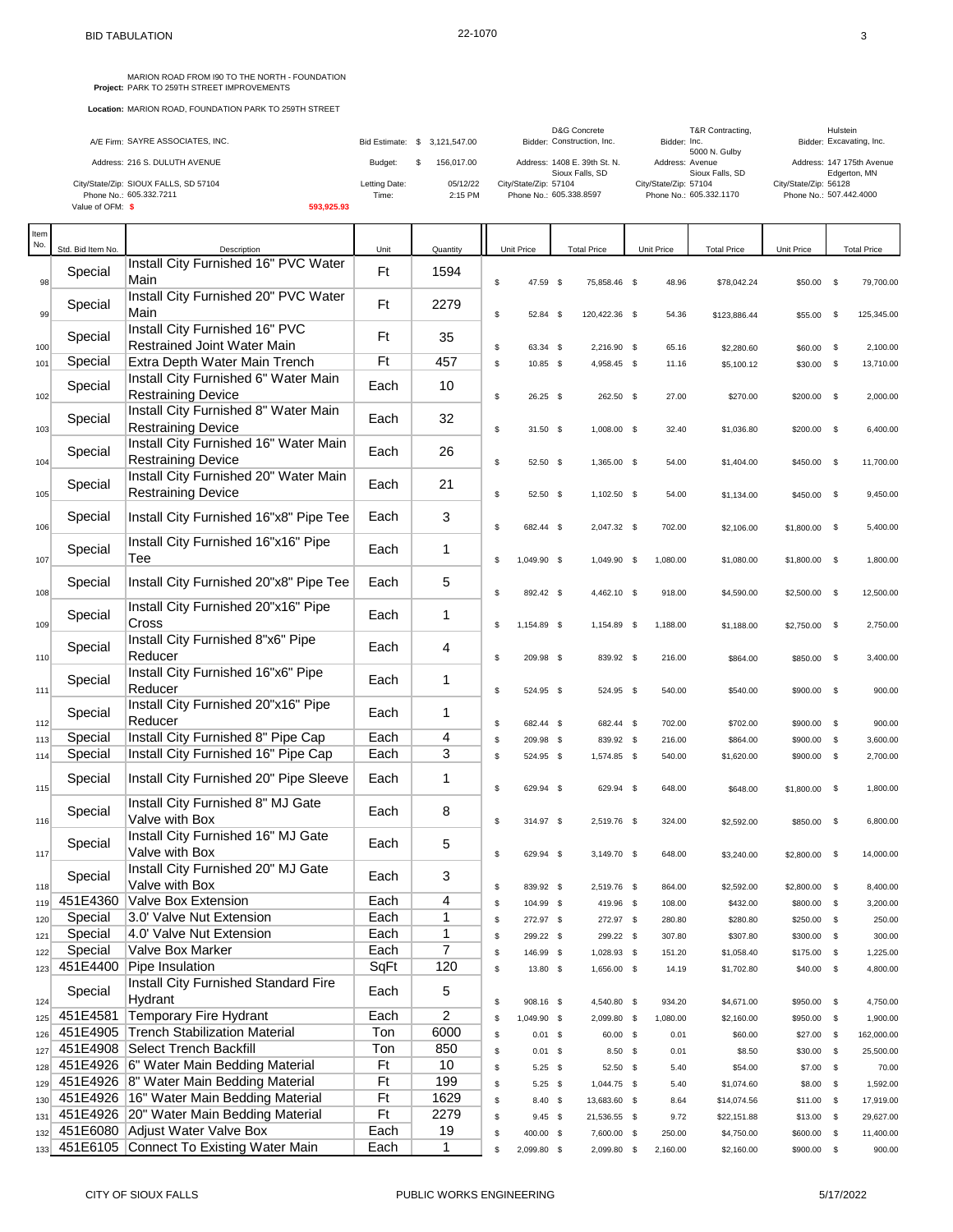| A/E Firm: SAYRE ASSOCIATES, INC.      |               | Bid Estimate: \$ 3.121.547.00 | D&G Concrete<br>Bidder: Construction, Inc.      | T&R Contracting,<br>Bidder: Inc.<br>5000 N. Gulby | Hulstein<br>Bidder: Excavating, Inc.      |
|---------------------------------------|---------------|-------------------------------|-------------------------------------------------|---------------------------------------------------|-------------------------------------------|
| Address: 216 S. DULUTH AVENUE         | Budget:       | 156,017.00                    | Address: 1408 E. 39th St. N.<br>Sioux Falls, SD | Address: Avenue<br>Sioux Falls, SD                | Address: 147 175th Avenue<br>Edgerton, MN |
| City/State/Zip: SIOUX FALLS, SD 57104 | Letting Date: | 05/12/22                      | City/State/Zip: 57104                           | City/State/Zip: 57104                             | City/State/Zip: 56128                     |
| Phone No.: 605.332.7211               | Time:         | $2:15$ PM                     | Phone No.: 605.338.8597                         | Phone No.: 605.332.1170                           | Phone No.: 507.442.4000                   |
| Value of OFM: \$                      | 593.925.93    |                               |                                                 |                                                   |                                           |

| Item<br>No. | Std. Bid Item No. | Description                                                        | Unit | Quantity       |             | Unit Price           | <b>Total Price</b>         | Unit Price     | <b>Total Price</b>       | Unit Price         |                            | <b>Total Price</b>    |
|-------------|-------------------|--------------------------------------------------------------------|------|----------------|-------------|----------------------|----------------------------|----------------|--------------------------|--------------------|----------------------------|-----------------------|
| 98          | Special           | Install City Furnished 16" PVC Water<br>Main                       | Ft   | 1594           | $\mathbb S$ | 47.59 \$             | 75,858.46 \$               | 48.96          | \$78,042.24              | \$50.00 \$         |                            | 79,700.00             |
| 99          | Special           | Install City Furnished 20" PVC Water<br>Main                       | Ft   | 2279           | $\mathbb S$ |                      |                            |                |                          | \$55.00 \$         |                            | 125,345.00            |
|             | Special           | Install City Furnished 16" PVC<br>Restrained Joint Water Main      | Ft   | 35             |             | 52.84 \$             | 120,422.36 \$              | 54.36          | \$123,886.44             |                    |                            |                       |
| 100<br>101  | Special           | Extra Depth Water Main Trench                                      | Ft   | 457            | \$<br>\$    | 63.34 \$<br>10.85 \$ | 2,216.90 \$<br>4,958.45 \$ | 65.16<br>11.16 | \$2,280.60<br>\$5,100.12 | \$60.00<br>\$30.00 | $^{\circ}$<br>$\mathbb{S}$ | 2,100.00<br>13,710.00 |
|             |                   | Install City Furnished 6" Water Main                               |      |                |             |                      |                            |                |                          |                    |                            |                       |
| 102         | Special           | <b>Restraining Device</b>                                          | Each | 10             | \$          | $26.25$ \$           | 262.50 \$                  | 27.00          | \$270.00                 | \$200.00 \$        |                            | 2,000.00              |
| 103         | Special           | Install City Furnished 8" Water Main<br><b>Restraining Device</b>  | Each | 32             | \$          | 31.50 \$             | 1,008.00 \$                | 32.40          | \$1,036.80               | $$200.00$ \$       |                            | 6,400.00              |
| 104         | Special           | Install City Furnished 16" Water Main<br><b>Restraining Device</b> | Each | 26             | \$          | 52.50 \$             | 1,365.00 \$                | 54.00          | \$1,404.00               | $$450.00$ \$       |                            | 11,700.00             |
| 105         | Special           | Install City Furnished 20" Water Main<br><b>Restraining Device</b> | Each | 21             | \$          | 52.50 \$             | 1,102.50 \$                | 54.00          | \$1,134.00               | \$450.00           | $\mathbb{S}$               | 9,450.00              |
| 106         | Special           | Install City Furnished 16"x8" Pipe Tee                             | Each | 3              | \$          | 682.44 \$            | 2,047.32 \$                | 702.00         | \$2,106.00               | \$1,800.00         | - \$                       | 5,400.00              |
| 107         | Special           | Install City Furnished 16"x16" Pipe<br>Tee                         | Each | 1              | \$          | 1,049.90 \$          | 1,049.90 \$                | 1,080.00       | \$1,080.00               | $$1,800.00$ \$     |                            | 1,800.00              |
| 108         | Special           | Install City Furnished 20"x8" Pipe Tee                             | Each | 5              | \$          | 892.42 \$            | 4,462.10 \$                | 918.00         | \$4,590.00               | \$2,500.00 \$      |                            | 12,500.00             |
| 109         | Special           | Install City Furnished 20"x16" Pipe<br>Cross                       | Each | 1              | \$          | 1,154.89 \$          | 1,154.89 \$                | 1,188.00       | \$1,188.00               | $$2,750.00$ \$     |                            | 2,750.00              |
| 110         | Special           | Install City Furnished 8"x6" Pipe<br>Reducer                       | Each | 4              | \$          | 209.98 \$            | 839.92 \$                  | 216.00         | \$864.00                 | \$850.00           | - \$                       | 3,400.00              |
| 111         | Special           | Install City Furnished 16"x6" Pipe<br>Reducer                      | Each | 1              | \$          | 524.95 \$            | 524.95 \$                  | 540.00         | \$540.00                 | $$900.00$ \$       |                            | 900.00                |
| 112         | Special           | Install City Furnished 20"x16" Pipe<br>Reducer                     | Each | 1              | \$          | 682.44 \$            | 682.44 \$                  | 702.00         | \$702.00                 | \$900.00           | - \$                       | 900.00                |
| 113         | Special           | Install City Furnished 8" Pipe Cap                                 | Each | 4              | \$          | 209.98 \$            | 839.92 \$                  | 216.00         | \$864.00                 | \$900.00           | \$                         | 3,600.00              |
| 114         | Special           | Install City Furnished 16" Pipe Cap                                | Each | 3              | $\mathbb S$ | 524.95 \$            | 1,574.85 \$                | 540.00         | \$1,620.00               | \$900.00 \$        |                            | 2,700.00              |
| 115         | Special           | Install City Furnished 20" Pipe Sleeve                             | Each | 1              | \$          | 629.94 \$            | 629.94 \$                  | 648.00         | \$648.00                 | \$1,800.00         | - \$                       | 1,800.00              |
| 116         | Special           | Install City Furnished 8" MJ Gate<br>Valve with Box                | Each | 8              | \$          | 314.97 \$            | 2,519.76 \$                | 324.00         | \$2,592.00               | \$850.00 \$        |                            | 6,800.00              |
| 117         | Special           | Install City Furnished 16" MJ Gate<br>Valve with Box               | Each | 5              | \$          | 629.94 \$            | 3,149.70 \$                | 648.00         | \$3,240.00               | $$2,800.00$ \$     |                            | 14,000.00             |
| 118         | Special           | Install City Furnished 20" MJ Gate<br>Valve with Box               | Each | 3              | \$          | 839.92 \$            | 2,519.76 \$                | 864.00         | \$2,592.00               | \$2,800.00         | - \$                       | 8,400.00              |
| 119         | 451E4360          | Valve Box Extension                                                | Each | 4              | \$          | 104.99 \$            | 419.96 \$                  | 108.00         | \$432.00                 | \$800.00           | - \$                       | 3,200.00              |
| 120         | Special           | 3.0' Valve Nut Extension                                           | Each | 1              | \$          | 272.97 \$            | 272.97 \$                  | 280.80         | \$280.80                 | \$250.00 \$        |                            | 250.00                |
| 121         | Special           | 4.0' Valve Nut Extension                                           | Each | 1              | \$          | 299.22 \$            | 299.22 \$                  | 307.80         | \$307.80                 | \$300.00 \$        |                            | 300.00                |
| 122         | Special           | Valve Box Marker                                                   | Each | $\overline{7}$ | \$          | 146.99 \$            | 1,028.93 \$                | 151.20         | \$1,058.40               | \$175.00           | \$                         | 1,225.00              |
| 123         | 451E4400          | Pipe Insulation                                                    | SqFt | 120            | \$          | 13.80 \$             | 1,656.00 \$                | 14.19          | \$1,702.80               | $$40.00$ \$        |                            | 4,800.00              |
| 124         | Special           | Install City Furnished Standard Fire<br>Hydrant                    | Each | 5              | \$          | 908.16 \$            | 4,540.80 \$                | 934.20         | \$4,671.00               | \$950.00           | $\mathbb{S}$               | 4,750.00              |
| 125         | 451E4581          | Temporary Fire Hydrant                                             | Each | 2              | \$          | 1,049.90 \$          | 2,099.80 \$                | 1,080.00       | \$2,160.00               | \$950.00           | $\mathbb{S}$               | 1,900.00              |
| 126         | 451E4905          | Trench Stabilization Material                                      | Ton  | 6000           | \$          | $0.01$ \$            | 60.00 \$                   | 0.01           | \$60.00                  | $$27.00$ \$        |                            | 162,000.00            |
| 127         |                   | 451E4908 Select Trench Backfill                                    | Ton  | 850            | \$          | $0.01$ \$            | $8.50$ \$                  | 0.01           | \$8.50                   | \$30.00 \$         |                            | 25,500.00             |
| 128         |                   | 451E4926 6" Water Main Bedding Material                            | Ft   | 10             | \$          | $5.25$ \$            | 52.50 \$                   | 5.40           | \$54.00                  | \$7.00 \$          |                            | 70.00                 |
| 129         |                   | 451E4926 8" Water Main Bedding Material                            | Ft   | 199            | \$          | $5.25$ \$            | 1,044.75 \$                | 5.40           | \$1,074.60               | \$8.00             | \$                         | 1,592.00              |
| 130         |                   | 451E4926   16" Water Main Bedding Material                         | Ft   | 1629           | \$          | $8.40\%$             | 13,683.60 \$               | 8.64           | \$14,074.56              | $$11.00$ \$        |                            | 17,919.00             |
| 131         |                   | 451E4926   20" Water Main Bedding Material                         | Ft   | 2279           | \$          | $9.45$ \$            | 21,536.55 \$               | 9.72           | \$22,151.88              | $$13.00$ \$        |                            | 29,627.00             |
| 132         |                   | 451E6080 Adjust Water Valve Box                                    | Each | 19             | \$          | 400.00 \$            | 7,600.00 \$                | 250.00         | \$4,750.00               | \$600.00           | $\mathsf{s}$               | 11,400.00             |
| 133         |                   | 451E6105 Connect To Existing Water Main                            | Each | $\mathbf 1$    | \$          | 2,099.80 \$          | 2,099.80 \$                | 2,160.00       | \$2,160.00               | \$900.00 \$        |                            | 900.00                |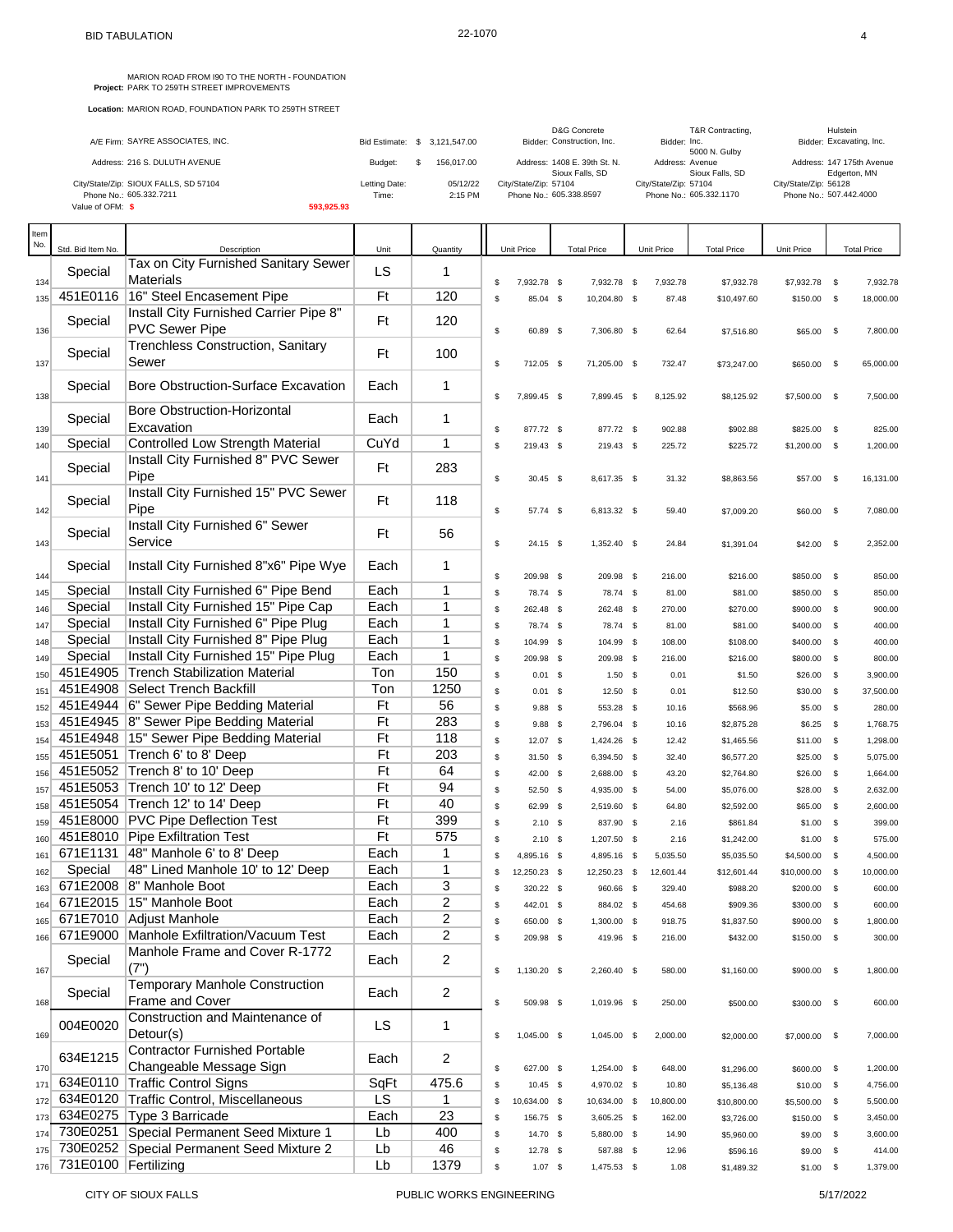|                                       |               |                               | D&G Concrete                 | T&R Contracting,        | Hulstein                  |
|---------------------------------------|---------------|-------------------------------|------------------------------|-------------------------|---------------------------|
| A/E Firm: SAYRE ASSOCIATES, INC.      |               | Bid Estimate: \$ 3.121.547.00 | Bidder: Construction, Inc.   | Bidder: Inc.            | Bidder: Excavating, Inc.  |
|                                       |               |                               |                              | 5000 N. Gulby           |                           |
| Address: 216 S. DULUTH AVENUE         | Budget:       | 156,017,00                    | Address: 1408 E. 39th St. N. | Address: Avenue         | Address: 147 175th Avenue |
|                                       |               |                               | Sioux Falls, SD              | Sioux Falls, SD         | Edgerton, MN              |
| City/State/Zip: SIOUX FALLS, SD 57104 | Letting Date: | 05/12/22                      | City/State/Zip: 57104        | City/State/Zip: 57104   | City/State/Zip: 56128     |
| Phone No.: 605.332.7211               | Time:         | 2:15 PM                       | Phone No.: 605.338.8597      | Phone No.: 605.332.1170 | Phone No.: 507.442.4000   |
| Value of OFM: \$                      | 593.925.93    |                               |                              |                         |                           |
|                                       |               |                               |                              |                         |                           |

| Item<br>No. | Std. Bid Item No.        | Description                                                     | Unit      | Quantity       |          | Unit Price               | <b>Total Price</b>         | Unit Price   | <b>Total Price</b>     | Unit Price                |              | <b>Total Price</b> |
|-------------|--------------------------|-----------------------------------------------------------------|-----------|----------------|----------|--------------------------|----------------------------|--------------|------------------------|---------------------------|--------------|--------------------|
|             |                          | Tax on City Furnished Sanitary Sewer                            |           |                |          |                          |                            |              |                        |                           |              |                    |
| 134         | Special                  | Materials                                                       | LS        | 1              | \$       | 7,932.78 \$              | 7,932.78 \$                | 7,932.78     | \$7,932.78             | \$7,932.78 \$             |              | 7,932.78           |
| 135         | 451E0116                 | 16" Steel Encasement Pipe                                       | Ft        | 120            | \$       | 85.04 \$                 | 10,204.80 \$               | 87.48        | \$10,497.60            | \$150.00                  | $\mathbb{S}$ | 18,000.00          |
| 136         | Special                  | Install City Furnished Carrier Pipe 8"<br><b>PVC Sewer Pipe</b> | Ft        | 120            | \$       | 60.89 \$                 | 7,306.80 \$                | 62.64        | \$7,516.80             | \$65.00                   | $\mathbb{S}$ | 7,800.00           |
| 137         | Special                  | <b>Trenchless Construction, Sanitary</b><br>Sewer               | Ft        | 100            | \$       | 712.05 \$                | 71,205.00 \$               | 732.47       | \$73,247.00            | \$650.00                  | $\mathbb{S}$ | 65,000.00          |
| 138         | Special                  | <b>Bore Obstruction-Surface Excavation</b>                      | Each      | 1              | \$       | 7,899.45 \$              | 7,899.45 \$                | 8,125.92     | \$8,125.92             | \$7,500.00                | $^{\circ}$   | 7,500.00           |
| 139         | Special                  | <b>Bore Obstruction-Horizontal</b><br>Excavation                | Each      | 1              | \$       | 877.72 \$                | 877.72 \$                  | 902.88       | \$902.88               | \$825.00                  | - \$         | 825.00             |
| 140         | Special                  | Controlled Low Strength Material                                | CuYd      | $\mathbf{1}$   | \$       | 219.43 \$                | 219.43 \$                  | 225.72       | \$225.72               | \$1,200.00                | - \$         | 1,200.00           |
| 141         | Special                  | Install City Furnished 8" PVC Sewer<br>Pipe                     | Ft        | 283            | \$       | 30.45 \$                 | 8,617.35 \$                | 31.32        | \$8,863.56             | \$57.00                   | \$           | 16,131.00          |
| 142         | Special                  | Install City Furnished 15" PVC Sewer<br>Pipe                    | Ft        | 118            | \$       | 57.74 \$                 | 6,813.32 \$                | 59.40        | \$7,009.20             | \$60.00                   | - \$         | 7,080.00           |
| 143         | Special                  | Install City Furnished 6" Sewer<br>Service                      | Ft        | 56             | \$       | 24.15 \$                 | 1,352.40 \$                | 24.84        | \$1,391.04             | \$42.00                   | - \$         | 2,352.00           |
| 144         | Special                  | Install City Furnished 8"x6" Pipe Wye                           | Each      | 1              | \$       | 209.98 \$                | 209.98 \$                  | 216.00       | \$216.00               | \$850.00                  | - \$         | 850.00             |
| 145         | Special                  | Install City Furnished 6" Pipe Bend                             | Each      | 1              | \$       | 78.74 \$                 | 78.74 \$                   | 81.00        | \$81.00                | \$850.00                  | \$           | 850.00             |
| 146         | Special                  | Install City Furnished 15" Pipe Cap                             | Each      | 1              | \$       | 262.48 \$                | 262.48 \$                  | 270.00       | \$270.00               | \$900.00                  | \$           | 900.00             |
| 147         | Special                  | Install City Furnished 6" Pipe Plug                             | Each      | $\mathbf 1$    | \$       | 78.74 \$                 | 78.74 \$                   | 81.00        | \$81.00                | \$400.00                  | \$           | 400.00             |
| 148         | Special                  | Install City Furnished 8" Pipe Plug                             | Each      | 1              | \$       | 104.99 \$                | 104.99 \$                  | 108.00       | \$108.00               | \$400.00                  | <b>S</b>     | 400.00             |
| 149         | Special                  | Install City Furnished 15" Pipe Plug                            | Each      | $\mathbf{1}$   | \$       | 209.98 \$                | 209.98 \$                  | 216.00       | \$216.00               | \$800.00                  | \$           | 800.00             |
| 150         | 451E4905                 | <b>Trench Stabilization Material</b>                            | Ton       | 150            | \$       | $0.01$ \$                | $1.50$ \$                  | 0.01         | \$1.50                 | \$26.00                   | \$           | 3,900.00           |
| 151         | 451E4908                 | <b>Select Trench Backfill</b>                                   | Ton       | 1250           | \$       | $0.01$ \$                | $12.50$ \$                 | 0.01         | \$12.50                | \$30.00                   | \$           | 37,500.00          |
| 152         |                          | 451E4944 6" Sewer Pipe Bedding Material                         | Ft        | 56             | \$       | $9.88$ \$                | 553.28 \$                  | 10.16        | \$568.96               | \$5.00                    | \$           | 280.00             |
| 153         |                          | 451E4945  8" Sewer Pipe Bedding Material                        | Ft        | 283            | \$       | $9.88$ \$                | 2,796.04 \$                | 10.16        | \$2,875.28             | \$6.25                    | <b>S</b>     | 1,768.75           |
| 154         |                          | 451E4948   15" Sewer Pipe Bedding Material                      | Ft<br>Ft  | 118<br>203     | \$       | 12.07 \$                 | 1,424.26 \$                | 12.42        | \$1,465.56             | \$11.00                   | $\mathbb{S}$ | 1,298.00           |
| 155         |                          | 451E5051 Trench 6' to 8' Deep<br>451E5052 Trench 8' to 10' Deep | Ft        | 64             | \$       | $31.50$ \$               | 6,394.50 \$                | 32.40        | \$6,577.20             | \$25.00                   | \$           | 5,075.00           |
| 156         |                          | 451E5053 Trench 10' to 12' Deep                                 | Ft        | 94             | \$       | 42.00 \$                 | 2,688.00 \$                | 43.20        | \$2,764.80             | $$26.00$ \$               |              | 1,664.00           |
| 157         |                          | 451E5054 Trench 12' to 14' Deep                                 | Ft        | 40             | \$<br>\$ | 52.50 \$                 | 4,935.00 \$                | 54.00        | \$5,076.00             | \$28.00                   | \$           | 2,632.00           |
| 158         |                          | 451E8000 PVC Pipe Deflection Test                               | Ft        | 399            |          | 62.99 \$                 | 2,519.60 \$                | 64.80        | \$2,592.00             | \$65.00                   | \$           | 2,600.00           |
| 159<br>160  |                          | 451E8010 Pipe Exfiltration Test                                 | Ft        | 575            | \$<br>\$ | $2.10$ \$                | 837.90 \$                  | 2.16<br>2.16 | \$861.84<br>\$1,242.00 | \$1.00<br>$$1.00$ \$      | <b>S</b>     | 399.00<br>575.00   |
| 161         |                          | 671E1131 48" Manhole 6' to 8' Deep                              | Each      | 1              | \$       | $2.10$ \$<br>4,895.16 \$ | 1,207.50 \$<br>4,895.16 \$ | 5,035.50     | \$5,035.50             |                           | - \$         | 4,500.00           |
| 162         | Special                  | 48" Lined Manhole 10' to 12' Deep                               | Each      | $\mathbf{1}$   | \$       | 12,250.23 \$             | 12,250.23 \$               | 12,601.44    | \$12,601.44            | \$4,500.00<br>\$10,000.00 | $\mathbb{S}$ | 10,000.00          |
| 163         | 671E2008                 | 8" Manhole Boot                                                 | Each      | 3              | \$       | 320.22 \$                | 960.66 \$                  | 329.40       | \$988.20               | \$200.00                  | \$           | 600.00             |
| 164         |                          | 671E2015   15" Manhole Boot                                     | Each      | 2              | \$       | 442.01 \$                | 884.02 \$                  | 454.68       | \$909.36               | \$300.00                  | - \$         | 600.00             |
| 165         |                          | 671E7010 Adjust Manhole                                         | Each      | $\overline{2}$ | \$       | 650.00 \$                | 1,300.00 \$                | 918.75       | \$1,837.50             | \$900.00                  | <b>S</b>     | 1,800.00           |
|             |                          | 166 671E9000 Manhole Exfiltration/Vacuum Test                   | Each      | 2              | \$       | 209.98 \$                | 419.96 \$                  | 216.00       | \$432.00               | \$150.00 \$               |              | 300.00             |
| 167         | Special                  | Manhole Frame and Cover R-1772<br>(7")                          | Each      | 2              | \$       | 1,130.20 \$              | 2,260.40 \$                | 580.00       | \$1,160.00             | \$900.00 \$               |              | 1,800.00           |
| 168         | Special                  | <b>Temporary Manhole Construction</b><br>Frame and Cover        | Each      | 2              | \$       | 509.98 \$                | 1,019.96 \$                | 250.00       | \$500.00               | \$300.00 \$               |              | 600.00             |
| 169         | 004E0020                 | Construction and Maintenance of<br>Detour(s)                    | <b>LS</b> | 1              | \$       | 1,045.00 \$              | 1,045.00 \$                | 2,000.00     | \$2,000.00             | \$7,000.00 \$             |              | 7,000.00           |
| 170         | 634E1215                 | <b>Contractor Furnished Portable</b><br>Changeable Message Sign | Each      | 2              | \$       | 627.00 \$                | 1,254.00 \$                | 648.00       | \$1,296.00             | \$600.00 \$               |              | 1,200.00           |
| 171         |                          | 634E0110 Traffic Control Signs                                  | SqFt      | 475.6          | \$       | 10.45 \$                 | 4,970.02 \$                | 10.80        | \$5,136.48             | \$10.00                   | $\mathbb{S}$ | 4,756.00           |
|             |                          | 172 634E0120 Traffic Control, Miscellaneous                     | <b>LS</b> | 1              | \$       | 10,634.00 \$             | 10,634.00 \$               | 10,800.00    | \$10,800.00            | \$5,500.00 \$             |              | 5,500.00           |
| 173         |                          | 634E0275 Type 3 Barricade                                       | Each      | 23             | \$       | 156.75 \$                | 3,605.25 \$                | 162.00       | \$3,726.00             | \$150.00                  | \$           | 3,450.00           |
|             |                          | 174 730E0251 Special Permanent Seed Mixture 1                   | Lb        | 400            | \$       | 14.70 \$                 | 5,880.00 \$                | 14.90        | \$5,960.00             | \$9.00                    | - \$         | 3,600.00           |
| 175         |                          | 730E0252 Special Permanent Seed Mixture 2                       | Lb        | 46             | \$       | 12.78 \$                 | 587.88 \$                  | 12.96        | \$596.16               | \$9.00                    | \$           | 414.00             |
|             | 176 731E0100 Fertilizing |                                                                 | Lb        | 1379           | \$       | $1.07$ \$                | 1,475.53 \$                | 1.08         | \$1,489.32             | $$1.00$ \$                |              | 1,379.00           |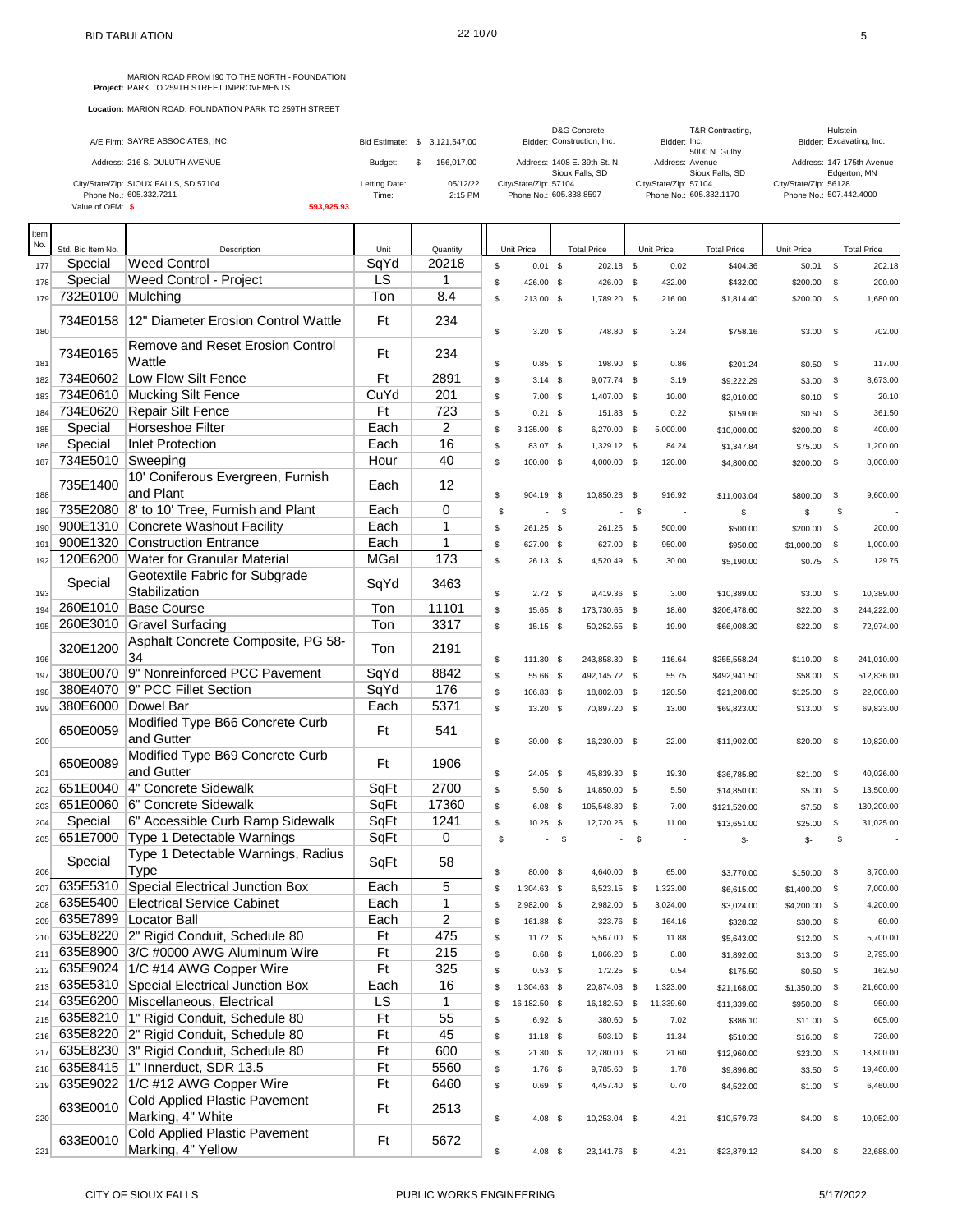MARION ROAD FROM 190 TO THE NORTH - FOUNDATION<br>**Project:** PARK TO 259TH STREET IMPROVEMENTS

| A/E Firm: SAYRE ASSOCIATES, INC.      |               | Bid Estimate: \$ 3.121.547.00 | <b>D&amp;G Concrete</b><br>Bidder: Construction, Inc. | T&R Contracting,<br>Bidder: Inc.<br>5000 N. Gulby | Hulstein<br>Bidder: Excavating, Inc.      |
|---------------------------------------|---------------|-------------------------------|-------------------------------------------------------|---------------------------------------------------|-------------------------------------------|
| Address: 216 S. DULUTH AVENUE         | Budget:       | 156,017.00                    | Address: 1408 E. 39th St. N.<br>Sioux Falls, SD       | Address: Avenue<br>Sioux Falls, SD                | Address: 147 175th Avenue<br>Edgerton, MN |
| City/State/Zip: SIOUX FALLS, SD 57104 | Letting Date: | 05/12/22                      | City/State/Zip: 57104                                 | City/State/Zip: 57104                             | City/State/Zip: 56128                     |
| Phone No.: 605.332.7211               | Time:         | 2:15 PM                       | Phone No.: 605.338.8597                               | Phone No.: 605.332.1170                           | Phone No.: 507.442.4000                   |
| Value of OFM: \$                      | 593.925.93    |                               |                                                       |                                                   |                                           |

| Item<br>No. |                              |                                                            |              |                   |          |                        |            |                          |        |                  |                        |                      |              |                    |
|-------------|------------------------------|------------------------------------------------------------|--------------|-------------------|----------|------------------------|------------|--------------------------|--------|------------------|------------------------|----------------------|--------------|--------------------|
|             | Std. Bid Item No.            | Description<br><b>Weed Control</b>                         | Unit<br>SqYd | Quantity<br>20218 |          | Unit Price             |            | <b>Total Price</b>       |        | Unit Price       | <b>Total Price</b>     | Unit Price           |              | <b>Total Price</b> |
| 177         | Special                      |                                                            | LS           | 1                 | \$       | $0.01$ \$              |            | 202.18 \$                |        | 0.02             | \$404.36               | $$0.01$ \$           |              | 202.18             |
| 178<br>179  | Special<br>732E0100 Mulching | Weed Control - Project                                     | Ton          | 8.4               | \$<br>\$ | 426.00 \$<br>213.00 \$ |            | 426.00 \$<br>1,789.20 \$ |        | 432.00<br>216.00 | \$432.00<br>\$1,814.40 | \$200.00<br>\$200.00 | \$<br>\$     | 200.00<br>1,680.00 |
|             | 734E0158                     | 12" Diameter Erosion Control Wattle                        | Ft           | 234               |          |                        |            |                          |        |                  |                        |                      |              |                    |
| 180         | 734E0165                     | Remove and Reset Erosion Control                           | Ft           | 234               | \$       | $3.20\ 5$              |            | 748.80 \$                |        | 3.24             | \$758.16               | \$3.00               | -\$          | 702.00             |
| 181         |                              | Wattle                                                     |              |                   | \$       | $0.85$ \$              |            | 198.90 \$                |        | 0.86             | \$201.24               | \$0.50               | \$           | 117.00             |
| 182         | 734E0602                     | Low Flow Silt Fence                                        | Ft           | 2891              | \$       | $3.14$ \$              |            | 9,077.74 \$              |        | 3.19             | \$9,222.29             | \$3.00               | \$           | 8,673.00           |
| 183         |                              | 734E0610 Mucking Silt Fence                                | CuYd         | 201               | \$       | $7.00$ \$              |            | 1,407.00 \$              |        | 10.00            | \$2,010.00             | \$0.10               | \$           | 20.10              |
| 184         | 734E0620                     | Repair Silt Fence                                          | Ft           | 723               | \$       | $0.21$ \$              |            | 151.83 \$                |        | 0.22             | \$159.06               | \$0.50               | \$           | 361.50             |
| 185         | Special                      | Horseshoe Filter                                           | Each         | 2<br>16           | \$       | $3,135.00$ \$          |            | 6,270.00 \$              |        | 5,000.00         | \$10,000.00            | \$200.00             | \$           | 400.00             |
| 186         | Special<br>734E5010 Sweeping | <b>Inlet Protection</b>                                    | Each         | 40                | \$       | 83.07 \$               |            | 1,329.12 \$              |        | 84.24            | \$1,347.84             | \$75.00              | \$           | 1,200.00           |
| 187         |                              |                                                            | Hour         |                   | \$       | 100.00 \$              |            | 4,000.00 \$              |        | 120.00           | \$4,800.00             | \$200.00             | \$           | 8,000.00           |
| 188         | 735E1400                     | 10' Coniferous Evergreen, Furnish<br>and Plant             | Each         | 12                | \$       | 904.19 \$              |            | 10,850.28 \$             |        | 916.92           | \$11,003.04            | \$800.00             | \$           | 9,600.00           |
| 189         |                              | 735E2080 8' to 10' Tree, Furnish and Plant                 | Each         | 0                 | \$       |                        | $^{\circ}$ |                          | - \$   |                  | \$-                    | \$-                  | S            |                    |
| 190         |                              | 900E1310 Concrete Washout Facility                         | Each         | 1                 | \$       | 261.25 \$              |            | 261.25 \$                |        | 500.00           | \$500.00               | \$200.00             | \$           | 200.00             |
| 191         | 900E1320                     | <b>Construction Entrance</b>                               | Each         | $\mathbf 1$       | \$       | 627.00 \$              |            | 627.00 \$                |        | 950.00           | \$950.00               | \$1,000.00           | \$           | 1,000.00           |
| 192         | 120E6200                     | Water for Granular Material                                | <b>MGal</b>  | 173               | \$       | $26.13$ \$             |            | 4,520.49 \$              |        | 30.00            | \$5,190.00             | \$0.75               | - \$         | 129.75             |
| 193         | Special                      | Geotextile Fabric for Subgrade<br>Stabilization            | SqYd         | 3463              | \$       | $2.72$ \$              |            | 9,419.36 \$              |        | 3.00             | \$10,389.00            | \$3.00               | \$           | 10,389.00          |
| 194         |                              | 260E1010 Base Course                                       | Ton          | 11101             | \$       | 15.65 \$               |            | 173,730.65 \$            |        | 18.60            | \$206,478.60           | \$22.00              | \$           | 244,222.00         |
| 195         | 260E3010                     | Gravel Surfacing                                           | Ton          | 3317              | \$       | $15.15$ \$             |            | 50,252.55 \$             |        | 19.90            | \$66,008.30            | \$22.00              | \$           | 72.974.00          |
|             | 320E1200                     | Asphalt Concrete Composite, PG 58-<br>34                   | Ton          | 2191              |          |                        |            |                          |        |                  |                        |                      |              |                    |
| 196         |                              | 380E0070 9" Nonreinforced PCC Pavement                     | SqYd         | 8842              | \$       | 111.30 \$              |            | 243,858.30 \$            |        | 116.64           | \$255,558.24           | \$110.00             | \$           | 241,010.00         |
| 197         |                              | 380E4070 9" PCC Fillet Section                             | SqYd         | 176               | \$       | 55.66 \$               |            | 492,145.72 \$            |        | 55.75            | \$492,941.50           | \$58.00              | $\mathbb{S}$ | 512,836.00         |
| 198         | 380E6000 Dowel Bar           |                                                            | Each         | 5371              | \$<br>\$ | 106.83 \$              |            | 18,802.08 \$             |        | 120.50           | \$21,208.00            | \$125.00             | \$           | 22,000.00          |
| 199         |                              | Modified Type B66 Concrete Curb                            |              |                   |          | 13.20 \$               |            | 70,897.20 \$             |        | 13.00            | \$69,823.00            | \$13.00              | $\mathbb{S}$ | 69,823.00          |
| 200         | 650E0059                     | and Gutter                                                 | Ft           | 541               | \$       | $30.00$ \$             |            | 16,230.00 \$             |        | 22.00            | \$11,902.00            | \$20.00              | $^{\circ}$   | 10,820.00          |
| 201         | 650E0089                     | Modified Type B69 Concrete Curb<br>and Gutter              | Ft           | 1906              | \$       | $24.05$ \$             |            | 45,839.30 \$             |        | 19.30            | \$36,785.80            | \$21.00              | $\mathbb{S}$ | 40,026.00          |
| 202         | 651E0040                     | 4" Concrete Sidewalk                                       | SqFt         | 2700              | \$       | $5.50$ \$              |            | 14,850.00 \$             |        | 5.50             | \$14,850.00            | \$5.00               | \$           | 13,500.00          |
| 203         |                              | 651E0060 6" Concrete Sidewalk                              | SqFt         | 17360             | \$       | $6.08$ \$              |            | 105,548.80 \$            |        | 7.00             | \$121,520.00           | \$7.50               | \$           | 130,200.00         |
| 204         | Special                      | 6" Accessible Curb Ramp Sidewalk                           | SqFt         | 1241              | \$       | 10.25                  | - \$       | 12,720.25 \$             |        | 11.00            | \$13,651.00            | \$25.00              | \$           | 31,025.00          |
| 205         |                              | 651E7000 Type 1 Detectable Warnings                        | SqFt         | 0                 | \$       |                        | $-5$       |                          | $-$ \$ |                  | \$-                    | \$-                  | \$           |                    |
| 206         | Special                      | Type 1 Detectable Warnings, Radius<br>Type                 | SqFt         | 58                | \$       | 80.00 \$               |            | 4,640.00 \$              |        | 65.00            | \$3,770.00             | \$150.00             | \$           | 8,700.00           |
| 207         | 635E5310                     | Special Electrical Junction Box                            | Each         | 5                 | \$       | 1,304.63 \$            |            | 6,523.15 \$              |        | 1,323.00         | \$6,615.00             | \$1,400.00           | \$           | 7,000.00           |
| 208         |                              | 635E5400 Electrical Service Cabinet                        | Each         | 1                 | \$       | 2.982.00 \$            |            | 2,982.00 \$              |        | 3,024.00         | \$3,024.00             | \$4,200.00           | - \$         | 4,200.00           |
| 209         |                              | 635E7899   Locator Ball                                    | Each         | 2                 | \$       | 161.88 \$              |            | 323.76 \$                |        | 164.16           | \$328.32               | \$30.00              | \$           | 60.00              |
| 210         |                              | 635E8220 2" Rigid Conduit, Schedule 80                     | Ft           | 475               | \$       | $11.72$ \$             |            | 5,567.00 \$              |        | 11.88            | \$5,643.00             | $$12.00$ \$          |              | 5,700.00           |
| 211         |                              | 635E8900 3/C #0000 AWG Aluminum Wire                       | Ft           | 215               | \$       | 8.68 \$                |            | 1,866.20 \$              |        | 8.80             | \$1,892.00             | \$13.00              | - \$         | 2,795.00           |
| 212         |                              | 635E9024 1/C #14 AWG Copper Wire                           | Ft           | 325               | \$       | $0.53$ \$              |            | 172.25 \$                |        | 0.54             | \$175.50               | \$0.50               | \$           | 162.50             |
| 213         |                              | 635E5310 Special Electrical Junction Box                   | Each         | 16                | \$       | 1,304.63 \$            |            | 20,874.08 \$             |        | 1,323.00         | \$21,168.00            | \$1,350.00           | $\mathbb{S}$ | 21,600.00          |
| 214         |                              | 635E6200 Miscellaneous, Electrical                         | LS           | 1                 | \$       | 16,182.50 \$           |            | 16,182.50 \$             |        | 11,339.60        | \$11,339.60            | \$950.00             | \$           | 950.00             |
| 215         |                              | 635E8210   1" Rigid Conduit, Schedule 80                   | Ft           | 55                | \$       | $6.92$ \$              |            | 380.60 \$                |        | 7.02             | \$386.10               | $$11.00$ \$          |              | 605.00             |
| 216         |                              | 635E8220 2" Rigid Conduit, Schedule 80                     | Ft           | 45                | \$       | $11.18$ \$             |            | 503.10 \$                |        | 11.34            | \$510.30               | \$16.00              | \$           | 720.00             |
| 217         |                              | 635E8230 3" Rigid Conduit, Schedule 80                     | Ft           | 600               | \$       | $21.30$ \$             |            | 12,780.00 \$             |        | 21.60            | \$12,960.00            | \$23.00              | $\mathbb{S}$ | 13,800.00          |
| 218         |                              | 635E8415   1" Innerduct, SDR 13.5                          | Ft           | 5560              | \$       | $1.76$ \$              |            | 9,785.60 \$              |        | 1.78             | \$9,896.80             | \$3.50               | \$           | 19,460.00          |
| 219         |                              | 635E9022 1/C #12 AWG Copper Wire                           | Ft           | 6460              | \$       | $0.69$ \$              |            | 4,457.40 \$              |        | 0.70             | \$4,522.00             | $$1.00$ \$           |              | 6,460.00           |
| 220         | 633E0010                     | <b>Cold Applied Plastic Pavement</b><br>Marking, 4" White  | Ft           | 2513              | \$       | 4.08 \$                |            | 10,253.04 \$             |        | 4.21             | \$10,579.73            | $$4.00$ \$           |              | 10,052.00          |
| 221         | 633E0010                     | <b>Cold Applied Plastic Pavement</b><br>Marking, 4" Yellow | Ft           | 5672              | \$       | $4.08$ \$              |            | 23,141.76 \$             |        | 4.21             | \$23,879.12            | $$4.00$ \$           |              | 22,688.00          |
|             |                              |                                                            |              |                   |          |                        |            |                          |        |                  |                        |                      |              |                    |